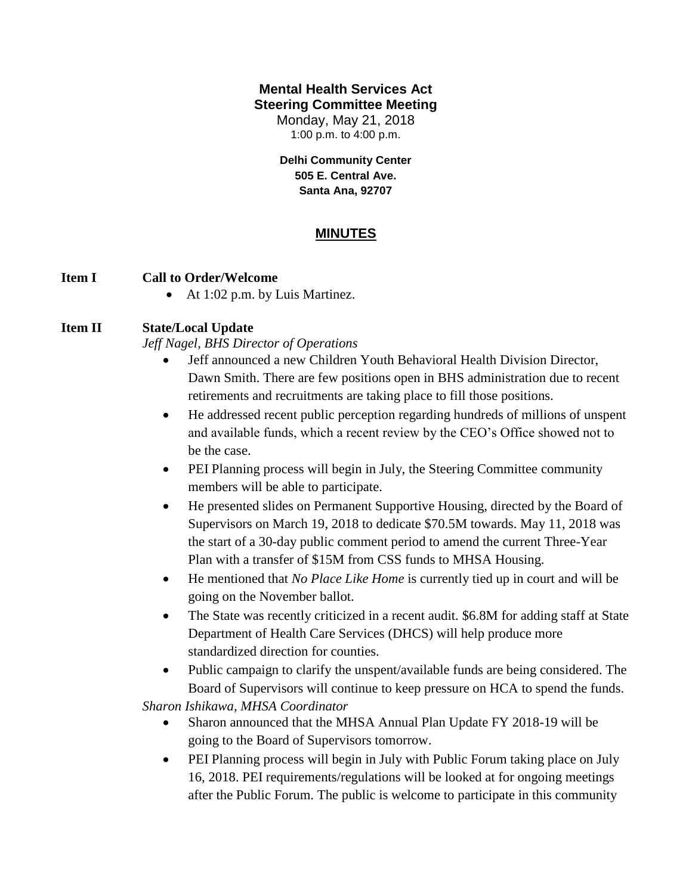## **Mental Health Services Act Steering Committee Meeting**

Monday, May 21, 2018 1:00 p.m. to 4:00 p.m.

**Delhi Community Center 505 E. Central Ave. Santa Ana, 92707**

# **MINUTES**

## **Item I Call to Order/Welcome**

• At 1:02 p.m. by Luis Martinez.

# **Item II State/Local Update**

*Jeff Nagel, BHS Director of Operations*

- Jeff announced a new Children Youth Behavioral Health Division Director, Dawn Smith. There are few positions open in BHS administration due to recent retirements and recruitments are taking place to fill those positions.
- He addressed recent public perception regarding hundreds of millions of unspent and available funds, which a recent review by the CEO's Office showed not to be the case.
- PEI Planning process will begin in July, the Steering Committee community members will be able to participate.
- He presented slides on Permanent Supportive Housing, directed by the Board of Supervisors on March 19, 2018 to dedicate \$70.5M towards. May 11, 2018 was the start of a 30-day public comment period to amend the current Three-Year Plan with a transfer of \$15M from CSS funds to MHSA Housing.
- He mentioned that *No Place Like Home* is currently tied up in court and will be going on the November ballot.
- The State was recently criticized in a recent audit. \$6.8M for adding staff at State Department of Health Care Services (DHCS) will help produce more standardized direction for counties.
- Public campaign to clarify the unspent/available funds are being considered. The Board of Supervisors will continue to keep pressure on HCA to spend the funds.

*Sharon Ishikawa, MHSA Coordinator*

- Sharon announced that the MHSA Annual Plan Update FY 2018-19 will be going to the Board of Supervisors tomorrow.
- PEI Planning process will begin in July with Public Forum taking place on July 16, 2018. PEI requirements/regulations will be looked at for ongoing meetings after the Public Forum. The public is welcome to participate in this community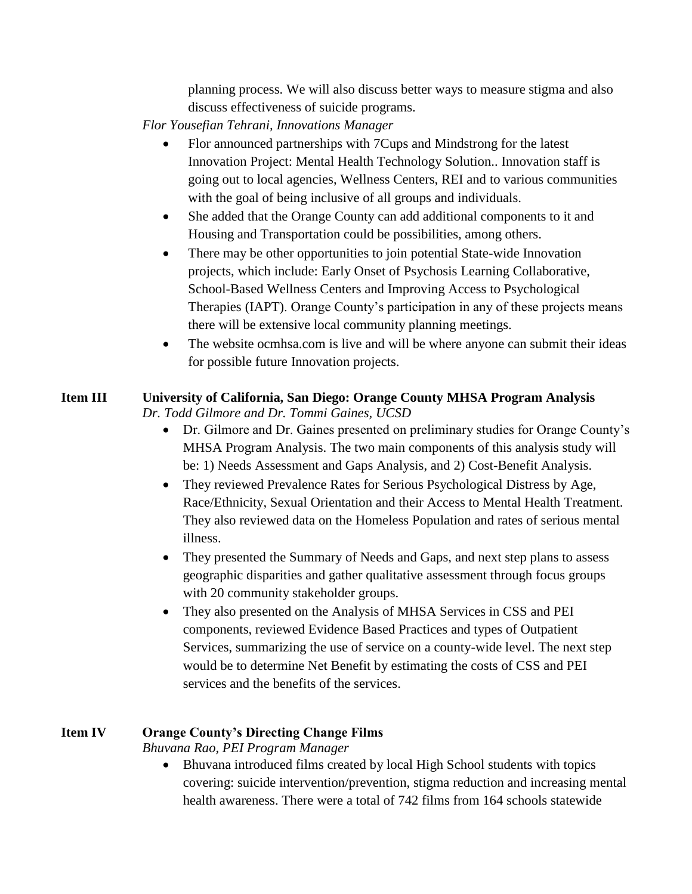planning process. We will also discuss better ways to measure stigma and also discuss effectiveness of suicide programs.

*Flor Yousefian Tehrani, Innovations Manager*

- Flor announced partnerships with 7Cups and Mindstrong for the latest Innovation Project: Mental Health Technology Solution.. Innovation staff is going out to local agencies, Wellness Centers, REI and to various communities with the goal of being inclusive of all groups and individuals.
- She added that the Orange County can add additional components to it and Housing and Transportation could be possibilities, among others.
- There may be other opportunities to join potential State-wide Innovation projects, which include: Early Onset of Psychosis Learning Collaborative, School-Based Wellness Centers and Improving Access to Psychological Therapies (IAPT). Orange County's participation in any of these projects means there will be extensive local community planning meetings.
- The website ocmhsa.com is live and will be where anyone can submit their ideas for possible future Innovation projects.

# **Item III University of California, San Diego: Orange County MHSA Program Analysis**

*Dr. Todd Gilmore and Dr. Tommi Gaines, UCSD*

- Dr. Gilmore and Dr. Gaines presented on preliminary studies for Orange County's MHSA Program Analysis. The two main components of this analysis study will be: 1) Needs Assessment and Gaps Analysis, and 2) Cost-Benefit Analysis.
- They reviewed Prevalence Rates for Serious Psychological Distress by Age, Race/Ethnicity, Sexual Orientation and their Access to Mental Health Treatment. They also reviewed data on the Homeless Population and rates of serious mental illness.
- They presented the Summary of Needs and Gaps, and next step plans to assess geographic disparities and gather qualitative assessment through focus groups with 20 community stakeholder groups.
- They also presented on the Analysis of MHSA Services in CSS and PEI components, reviewed Evidence Based Practices and types of Outpatient Services, summarizing the use of service on a county-wide level. The next step would be to determine Net Benefit by estimating the costs of CSS and PEI services and the benefits of the services.

# **Item IV Orange County's Directing Change Films**

*Bhuvana Rao, PEI Program Manager*

 Bhuvana introduced films created by local High School students with topics covering: suicide intervention/prevention, stigma reduction and increasing mental health awareness. There were a total of 742 films from 164 schools statewide